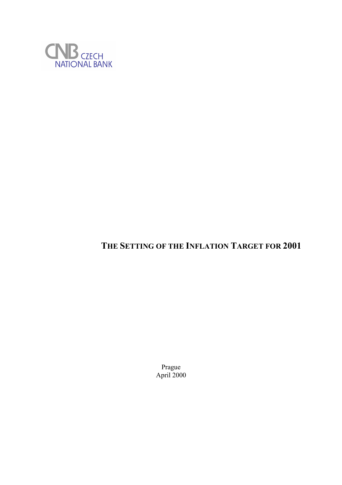

# **THE SETTING OF THE INFLATION TARGET FOR 2001**

Prague April 2000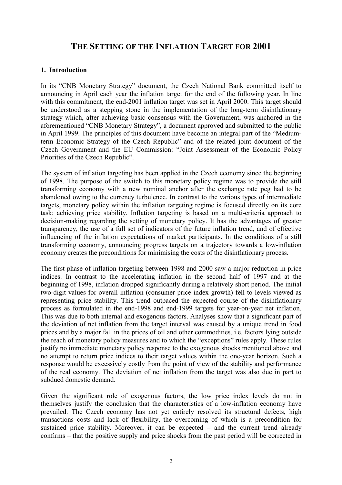## **THE SETTING OF THE INFLATION TARGET FOR 2001**

### **1. Introduction**

In its "CNB Monetary Strategy" document, the Czech National Bank committed itself to announcing in April each year the inflation target for the end of the following year. In line with this commitment, the end-2001 inflation target was set in April 2000. This target should be understood as a stepping stone in the implementation of the long-term disinflationary strategy which, after achieving basic consensus with the Government, was anchored in the aforementioned "CNB Monetary Strategy", a document approved and submitted to the public in April 1999. The principles of this document have become an integral part of the "Mediumterm Economic Strategy of the Czech Republic" and of the related joint document of the Czech Government and the EU Commission: "Joint Assessment of the Economic Policy Priorities of the Czech Republic".

The system of inflation targeting has been applied in the Czech economy since the beginning of 1998. The purpose of the switch to this monetary policy regime was to provide the still transforming economy with a new nominal anchor after the exchange rate peg had to be abandoned owing to the currency turbulence. In contrast to the various types of intermediate targets, monetary policy within the inflation targeting regime is focused directly on its core task: achieving price stability. Inflation targeting is based on a multi-criteria approach to decision-making regarding the setting of monetary policy. It has the advantages of greater transparency, the use of a full set of indicators of the future inflation trend, and of effective influencing of the inflation expectations of market participants. In the conditions of a still transforming economy, announcing progress targets on a trajectory towards a low-inflation economy creates the preconditions for minimising the costs of the disinflationary process.

The first phase of inflation targeting between 1998 and 2000 saw a major reduction in price indices. In contrast to the accelerating inflation in the second half of 1997 and at the beginning of 1998, inflation dropped significantly during a relatively short period. The initial two-digit values for overall inflation (consumer price index growth) fell to levels viewed as representing price stability. This trend outpaced the expected course of the disinflationary process as formulated in the end-1998 and end-1999 targets for year-on-year net inflation. This was due to both internal and exogenous factors. Analyses show that a significant part of the deviation of net inflation from the target interval was caused by a unique trend in food prices and by a major fall in the prices of oil and other commodities, i.e. factors lying outside the reach of monetary policy measures and to which the "exceptions" rules apply. These rules justify no immediate monetary policy response to the exogenous shocks mentioned above and no attempt to return price indices to their target values within the one-year horizon. Such a response would be excessively costly from the point of view of the stability and performance of the real economy. The deviation of net inflation from the target was also due in part to subdued domestic demand.

Given the significant role of exogenous factors, the low price index levels do not in themselves justify the conclusion that the characteristics of a low-inflation economy have prevailed. The Czech economy has not yet entirely resolved its structural defects, high transactions costs and lack of flexibility, the overcoming of which is a precondition for sustained price stability. Moreover, it can be expected – and the current trend already confirms – that the positive supply and price shocks from the past period will be corrected in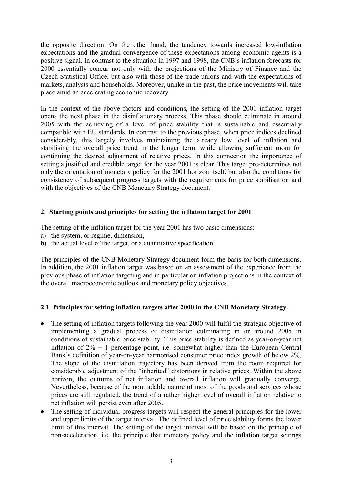the opposite direction. On the other hand, the tendency towards increased low-inflation expectations and the gradual convergence of these expectations among economic agents is a positive signal. In contrast to the situation in 1997 and 1998, the CNB's inflation forecasts for 2000 essentially concur not only with the projections of the Ministry of Finance and the Czech Statistical Office, but also with those of the trade unions and with the expectations of markets, analysts and households. Moreover, unlike in the past, the price movements will take place amid an accelerating economic recovery.

In the context of the above factors and conditions, the setting of the 2001 inflation target opens the next phase in the disinflationary process. This phase should culminate in around 2005 with the achieving of a level of price stability that is sustainable and essentially compatible with EU standards. In contrast to the previous phase, when price indices declined considerably, this largely involves maintaining the already low level of inflation and stabilising the overall price trend in the longer term, while allowing sufficient room for continuing the desired adjustment of relative prices. In this connection the importance of setting a justified and credible target for the year 2001 is clear. This target pre-determines not only the orientation of monetary policy for the 2001 horizon itself, but also the conditions for consistency of subsequent progress targets with the requirements for price stabilisation and with the objectives of the CNB Monetary Strategy document.

#### **2. Starting points and principles for setting the inflation target for 2001**

The setting of the inflation target for the year 2001 has two basic dimensions:

- a) the system, or regime, dimension,
- b) the actual level of the target, or a quantitative specification.

The principles of the CNB Monetary Strategy document form the basis for both dimensions. In addition, the 2001 inflation target was based on an assessment of the experience from the previous phase of inflation targeting and in particular on inflation projections in the context of the overall macroeconomic outlook and monetary policy objectives.

#### **2.1 Principles for setting inflation targets after 2000 in the CNB Monetary Strategy.**

- The setting of inflation targets following the year 2000 will fulfil the strategic objective of implementing a gradual process of disinflation culminating in or around 2005 in conditions of sustainable price stability. This price stability is defined as year-on-year net inflation of  $2\% \pm 1$  percentage point, i.e. somewhat higher than the European Central Bank's definition of year-on-year harmonised consumer price index growth of below 2%. The slope of the disinflation trajectory has been derived from the room required for considerable adjustment of the "inherited" distortions in relative prices. Within the above horizon, the outturns of net inflation and overall inflation will gradually converge. Nevertheless, because of the nontradable nature of most of the goods and services whose prices are still regulated, the trend of a rather higher level of overall inflation relative to net inflation will persist even after 2005.
- The setting of individual progress targets will respect the general principles for the lower and upper limits of the target interval. The defined level of price stability forms the lower limit of this interval. The setting of the target interval will be based on the principle of non-acceleration, i.e. the principle that monetary policy and the inflation target settings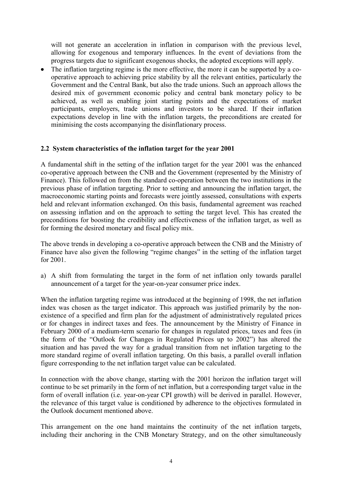will not generate an acceleration in inflation in comparison with the previous level, allowing for exogenous and temporary influences. In the event of deviations from the progress targets due to significant exogenous shocks, the adopted exceptions will apply.

• The inflation targeting regime is the more effective, the more it can be supported by a cooperative approach to achieving price stability by all the relevant entities, particularly the Government and the Central Bank, but also the trade unions. Such an approach allows the desired mix of government economic policy and central bank monetary policy to be achieved, as well as enabling joint starting points and the expectations of market participants, employers, trade unions and investors to be shared. If their inflation expectations develop in line with the inflation targets, the preconditions are created for minimising the costs accompanying the disinflationary process.

#### **2.2 System characteristics of the inflation target for the year 2001**

A fundamental shift in the setting of the inflation target for the year 2001 was the enhanced co-operative approach between the CNB and the Government (represented by the Ministry of Finance). This followed on from the standard co-operation between the two institutions in the previous phase of inflation targeting. Prior to setting and announcing the inflation target, the macroeconomic starting points and forecasts were jointly assessed, consultations with experts held and relevant information exchanged. On this basis, fundamental agreement was reached on assessing inflation and on the approach to setting the target level. This has created the preconditions for boosting the credibility and effectiveness of the inflation target, as well as for forming the desired monetary and fiscal policy mix.

The above trends in developing a co-operative approach between the CNB and the Ministry of Finance have also given the following "regime changes" in the setting of the inflation target for 2001.

a) A shift from formulating the target in the form of net inflation only towards parallel announcement of a target for the year-on-year consumer price index.

When the inflation targeting regime was introduced at the beginning of 1998, the net inflation index was chosen as the target indicator. This approach was justified primarily by the nonexistence of a specified and firm plan for the adjustment of administratively regulated prices or for changes in indirect taxes and fees. The announcement by the Ministry of Finance in February 2000 of a medium-term scenario for changes in regulated prices, taxes and fees (in the form of the "Outlook for Changes in Regulated Prices up to 2002") has altered the situation and has paved the way for a gradual transition from net inflation targeting to the more standard regime of overall inflation targeting. On this basis, a parallel overall inflation figure corresponding to the net inflation target value can be calculated.

In connection with the above change, starting with the 2001 horizon the inflation target will continue to be set primarily in the form of net inflation, but a corresponding target value in the form of overall inflation (i.e. year-on-year CPI growth) will be derived in parallel. However, the relevance of this target value is conditioned by adherence to the objectives formulated in the Outlook document mentioned above.

This arrangement on the one hand maintains the continuity of the net inflation targets, including their anchoring in the CNB Monetary Strategy, and on the other simultaneously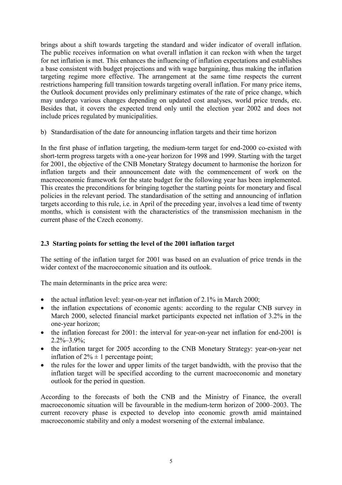brings about a shift towards targeting the standard and wider indicator of overall inflation. The public receives information on what overall inflation it can reckon with when the target for net inflation is met. This enhances the influencing of inflation expectations and establishes a base consistent with budget projections and with wage bargaining, thus making the inflation targeting regime more effective. The arrangement at the same time respects the current restrictions hampering full transition towards targeting overall inflation. For many price items, the Outlook document provides only preliminary estimates of the rate of price change, which may undergo various changes depending on updated cost analyses, world price trends, etc. Besides that, it covers the expected trend only until the election year 2002 and does not include prices regulated by municipalities.

b) Standardisation of the date for announcing inflation targets and their time horizon

In the first phase of inflation targeting, the medium-term target for end-2000 co-existed with short-term progress targets with a one-year horizon for 1998 and 1999. Starting with the target for 2001, the objective of the CNB Monetary Strategy document to harmonise the horizon for inflation targets and their announcement date with the commencement of work on the macroeconomic framework for the state budget for the following year has been implemented. This creates the preconditions for bringing together the starting points for monetary and fiscal policies in the relevant period. The standardisation of the setting and announcing of inflation targets according to this rule, i.e. in April of the preceding year, involves a lead time of twenty months, which is consistent with the characteristics of the transmission mechanism in the current phase of the Czech economy.

#### **2.3 Starting points for setting the level of the 2001 inflation target**

The setting of the inflation target for 2001 was based on an evaluation of price trends in the wider context of the macroeconomic situation and its outlook

The main determinants in the price area were:

- the actual inflation level: year-on-year net inflation of 2.1% in March 2000;
- the inflation expectations of economic agents: according to the regular CNB survey in March 2000, selected financial market participants expected net inflation of 3.2% in the one-year horizon;
- the inflation forecast for 2001: the interval for year-on-year net inflation for end-2001 is  $2.2\% - 3.9\%$ ;
- the inflation target for 2005 according to the CNB Monetary Strategy: year-on-year net inflation of  $2\% \pm 1$  percentage point:
- the rules for the lower and upper limits of the target bandwidth, with the proviso that the inflation target will be specified according to the current macroeconomic and monetary outlook for the period in question.

According to the forecasts of both the CNB and the Ministry of Finance, the overall macroeconomic situation will be favourable in the medium-term horizon of 2000–2003. The current recovery phase is expected to develop into economic growth amid maintained macroeconomic stability and only a modest worsening of the external imbalance.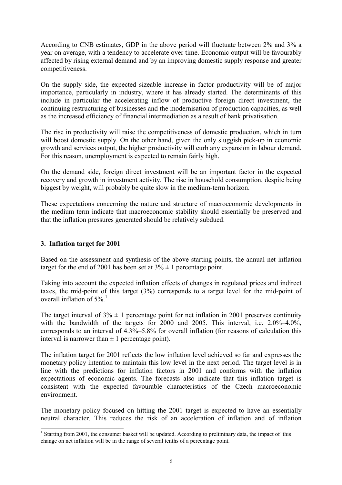According to CNB estimates, GDP in the above period will fluctuate between 2% and 3% a year on average, with a tendency to accelerate over time. Economic output will be favourably affected by rising external demand and by an improving domestic supply response and greater competitiveness.

On the supply side, the expected sizeable increase in factor productivity will be of major importance, particularly in industry, where it has already started. The determinants of this include in particular the accelerating inflow of productive foreign direct investment, the continuing restructuring of businesses and the modernisation of production capacities, as well as the increased efficiency of financial intermediation as a result of bank privatisation.

The rise in productivity will raise the competitiveness of domestic production, which in turn will boost domestic supply. On the other hand, given the only sluggish pick-up in economic growth and services output, the higher productivity will curb any expansion in labour demand. For this reason, unemployment is expected to remain fairly high.

On the demand side, foreign direct investment will be an important factor in the expected recovery and growth in investment activity. The rise in household consumption, despite being biggest by weight, will probably be quite slow in the medium-term horizon.

These expectations concerning the nature and structure of macroeconomic developments in the medium term indicate that macroeconomic stability should essentially be preserved and that the inflation pressures generated should be relatively subdued.

#### **3. Inflation target for 2001**

l

Based on the assessment and synthesis of the above starting points, the annual net inflation target for the end of 2001 has been set at  $3\% \pm 1$  percentage point.

Taking into account the expected inflation effects of changes in regulated prices and indirect taxes, the mid-point of this target (3%) corresponds to a target level for the mid-point of overall inflation of  $5\%$ <sup>1</sup>

The target interval of  $3\% \pm 1$  percentage point for net inflation in 2001 preserves continuity with the bandwidth of the targets for 2000 and 2005. This interval, i.e. 2.0%–4.0%, corresponds to an interval of 4.3%–5.8% for overall inflation (for reasons of calculation this interval is narrower than  $\pm 1$  percentage point).

The inflation target for 2001 reflects the low inflation level achieved so far and expresses the monetary policy intention to maintain this low level in the next period. The target level is in line with the predictions for inflation factors in 2001 and conforms with the inflation expectations of economic agents. The forecasts also indicate that this inflation target is consistent with the expected favourable characteristics of the Czech macroeconomic environment.

The monetary policy focused on hitting the 2001 target is expected to have an essentially neutral character. This reduces the risk of an acceleration of inflation and of inflation

<sup>&</sup>lt;sup>1</sup> Starting from 2001, the consumer basket will be updated. According to preliminary data, the impact of this change on net inflation will be in the range of several tenths of a percentage point.